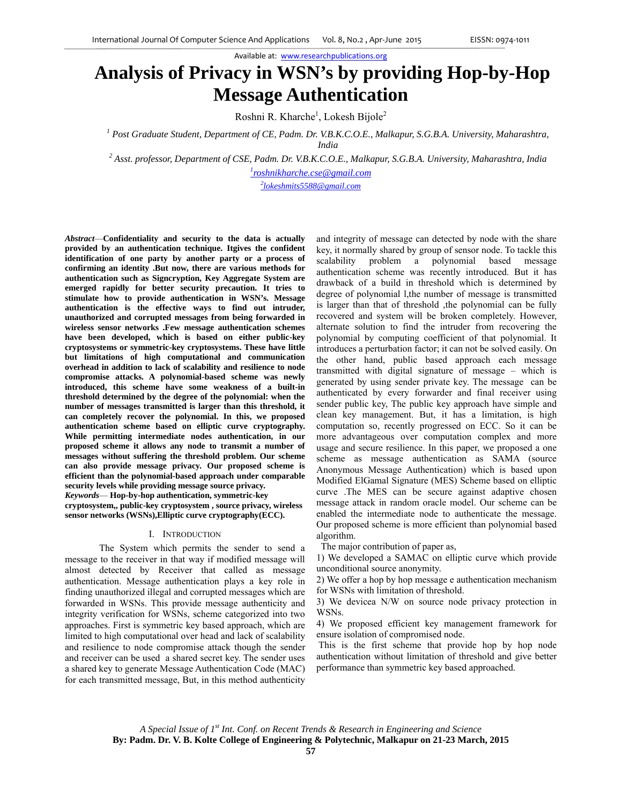# **Analysis of Privacy in WSN's by providing Hop-by-Hop Message Authentication**

Roshni R. Kharche<sup>1</sup>, Lokesh Bijole<sup>2</sup>

<sup>1</sup> Post Graduate Student, Department of CE, Padm. Dr. V.B.K.C.O.E., Malkapur, S.G.B.A. University, Maharashtra, *India*<br><sup>2</sup> Asst. professor Department of CSE, Badm. Dr. VB K C Q 1

 *Asst. professor, Department of CSE, Padm. Dr. V.B.K.C.O.E., Malkapur, S.G.B.A. University, Maharashtra, India 1*

*roshnikharche.cse@gmail.com*

*2 lokeshmits5588@gmail.com*

*Abstract*—**Confidentiality and security to the data is actually provided by an authentication technique. Itgives the confident identification of one party by another party or a process of confirming an identity .But now, there are various methods for authentication such as Signcryption, Key Aggregate System are emerged rapidly for better security precaution. It tries to stimulate how to provide authentication in WSN's. Message authentication is the effective ways to find out intruder, unauthorized and corrupted messages from being forwarded in wireless sensor networks .Few message authentication schemes have been developed, which is based on either public-key cryptosystems or symmetric-key cryptosystems. These have little but limitations of high computational and communication overhead in addition to lack of scalability and resilience to node compromise attacks. A polynomial-based scheme was newly introduced, this scheme have some weakness of a built-in threshold determined by the degree of the polynomial: when the number of messages transmitted is larger than this threshold, it can completely recover the polynomial. In this, we proposed authentication scheme based on elliptic curve cryptography. While permitting intermediate nodes authentication, in our proposed scheme it allows any node to transmit a number of messages without suffering the threshold problem. Our scheme can also provide message privacy. Our proposed scheme is efficient than the polynomial-based approach under comparable security levels while providing message source privacy.**  *Keywords*— **Hop-by-hop authentication, symmetric-key cryptosystem,, public-key cryptosystem , source privacy, wireless sensor networks (WSNs),Elliptic curve cryptography(ECC).**

## I. INTRODUCTION

 The System which permits the sender to send a message to the receiver in that way if modified message will almost detected by Receiver that called as message authentication. Message authentication plays a key role in finding unauthorized illegal and corrupted messages which are forwarded in WSNs. This provide message authenticity and integrity verification for WSNs, scheme categorized into two approaches. First is symmetric key based approach, which are limited to high computational over head and lack of scalability and resilience to node compromise attack though the sender and receiver can be used a shared secret key. The sender uses a shared key to generate Message Authentication Code (MAC) for each transmitted message, But, in this method authenticity

and integrity of message can detected by node with the share key, it normally shared by group of sensor node. To tackle this scalability problem a polynomial based message authentication scheme was recently introduced. But it has drawback of a build in threshold which is determined by degree of polynomial l,the number of message is transmitted is larger than that of threshold ,the polynomial can be fully recovered and system will be broken completely. However, alternate solution to find the intruder from recovering the polynomial by computing coefficient of that polynomial. It introduces a perturbation factor; it can not be solved easily. On the other hand, public based approach each message transmitted with digital signature of message – which is generated by using sender private key. The message can be authenticated by every forwarder and final receiver using sender public key, The public key approach have simple and clean key management. But, it has a limitation, is high computation so, recently progressed on ECC. So it can be more advantageous over computation complex and more usage and secure resilience. In this paper, we proposed a one scheme as message authentication as SAMA (source Anonymous Message Authentication) which is based upon Modified ElGamal Signature (MES) Scheme based on elliptic curve .The MES can be secure against adaptive chosen message attack in random oracle model. Our scheme can be enabled the intermediate node to authenticate the message. Our proposed scheme is more efficient than polynomial based algorithm.

The major contribution of paper as,

1) We developed a SAMAC on elliptic curve which provide unconditional source anonymity.

2) We offer a hop by hop message e authentication mechanism for WSNs with limitation of threshold.

3) We devicea N/W on source node privacy protection in WSNs.

4) We proposed efficient key management framework for ensure isolation of compromised node.

 This is the first scheme that provide hop by hop node authentication without limitation of threshold and give better performance than symmetric key based approached.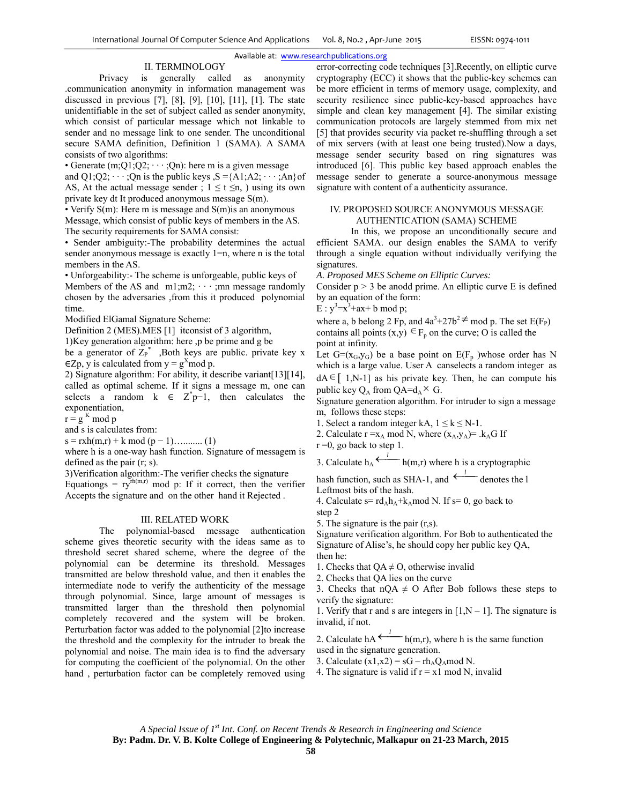## II. TERMINOLOGY

Privacy is generally called as anonymity .communication anonymity in information management was discussed in previous [7], [8], [9], [10], [11], [1]. The state unidentifiable in the set of subject called as sender anonymity, which consist of particular message which not linkable to sender and no message link to one sender. The unconditional secure SAMA definition, Definition 1 (SAMA). A SAMA consists of two algorithms:

• Generate  $(m;Q1;Q2; \dots;Qn)$ : here m is a given message

and Q1;Q2;  $\cdots$ ;Qn is the public keys  $S = \{A1; A2; \cdots; An\}$  of AS, At the actual message sender ;  $1 \le t \le n$ , ) using its own private key dt It produced anonymous message S(m).

• Verify S(m): Here m is message and S(m) is an anonymous

Message, which consist of public keys of members in the AS. The security requirements for SAMA consist:

• Sender ambiguity:-The probability determines the actual sender anonymous message is exactly 1=n, where n is the total members in the AS.

• Unforgeability:- The scheme is unforgeable, public keys of Members of the AS and  $m1; m2; \cdots; mn$  message randomly chosen by the adversaries ,from this it produced polynomial time.

Modified ElGamal Signature Scheme:

Definition 2 (MES).MES [1] itconsist of 3 algorithm,

1)Key generation algorithm: here ,p be prime and g be

be a generator of  $Z_P^*$ , Both keys are public. private key x  $\in$ Zp, y is calculated from y = g<sup>x</sup>mod p.

2) Signature algorithm: For ability, it describe variant[13][14], called as optimal scheme. If it signs a message m, one can selects a random  $k \in \mathbb{Z}^* p-1$ , then calculates the exponentiation,

 $r = g<sup>K</sup>$  mod p

and s is calculates from:

s = rxh(m,r) + k mod (p − 1)…........ (1)

where h is a one-way hash function. Signature of messagem is defined as the pair (r; s).

3)Verification algorithm:-The verifier checks the signature

Equationgs =  $ry<sup>rh(m,r)</sup>$  mod p: If it correct, then the verifier Accepts the signature and on the other hand it Rejected .

# III. RELATED WORK

The polynomial-based message authentication scheme gives theoretic security with the ideas same as to threshold secret shared scheme, where the degree of the polynomial can be determine its threshold. Messages transmitted are below threshold value, and then it enables the intermediate node to verify the authenticity of the message through polynomial. Since, large amount of messages is transmitted larger than the threshold then polynomial completely recovered and the system will be broken. Perturbation factor was added to the polynomial [2]to increase the threshold and the complexity for the intruder to break the polynomial and noise. The main idea is to find the adversary for computing the coefficient of the polynomial. On the other hand , perturbation factor can be completely removed using

error-correcting code techniques [3].Recently, on elliptic curve cryptography (ECC) it shows that the public-key schemes can be more efficient in terms of memory usage, complexity, and security resilience since public-key-based approaches have simple and clean key management [4]. The similar existing communication protocols are largely stemmed from mix net [5] that provides security via packet re-shuffling through a set of mix servers (with at least one being trusted).Now a days, message sender security based on ring signatures was introduced [6]. This public key based approach enables the message sender to generate a source-anonymous message signature with content of a authenticity assurance.

# IV. PROPOSED SOURCE ANONYMOUS MESSAGE AUTHENTICATION (SAMA) SCHEME

In this, we propose an unconditionally secure and efficient SAMA. our design enables the SAMA to verify through a single equation without individually verifying the signatures.

*A. Proposed MES Scheme on Elliptic Curves:*

Consider  $p > 3$  be anodd prime. An elliptic curve E is defined by an equation of the form:

 $E : y^3 = x^3 + ax + b \mod p;$ 

where a, b belong 2 Fp, and  $4a^3+27b^2 \neq$  mod p. The set E(F<sub>P</sub>) contains all points  $(x,y) \in F_n$  on the curve; O is called the point at infinity.

Let  $G=(x_G,y_G)$  be a base point on  $E(F_p)$  whose order has N which is a large value. User A canselects a random integer as

 $dA \in [1,N-1]$  as his private key. Then, he can compute his public key  $Q_A$  from  $QA=d_A \times G$ .

Signature generation algorithm. For intruder to sign a message m, follows these steps:

1. Select a random integer kA,  $1 \le k \le N-1$ .

2. Calculate  $r = x_A \mod N$ , where  $(x_A, y_A) = k_A G$  If

 $r = 0$ , go back to step 1.

3. Calculate 
$$
h_A \xleftarrow{l} h(m,r)
$$
 where h is a cryptographic

hash function, such as SHA-1, and  $\leftarrow$  denotes the l Leftmost bits of the hash.

4. Calculate  $s = rd_Ah_A + k_A \mod N$ . If  $s = 0$ , go back to step 2

5. The signature is the pair (r,s).

Signature verification algorithm. For Bob to authenticated the Signature of Alise's, he should copy her public key QA, then he:

- 1. Checks that  $QA \neq O$ , otherwise invalid
- 2. Checks that QA lies on the curve
- 3. Checks that  $nQA \neq O$  After Bob follows these steps to verify the signature:

1. Verify that r and s are integers in  $[1, N - 1]$ . The signature is invalid, if not.

2. Calculate hA<sup> $\leftarrow$ </sup>h(m,r), where h is the same function used in the signature generation.

3. Calculate  $(x1,x2) = sG - rh<sub>A</sub>Q<sub>A</sub>mod N$ .

4. The signature is valid if  $r = x1 \mod N$ , invalid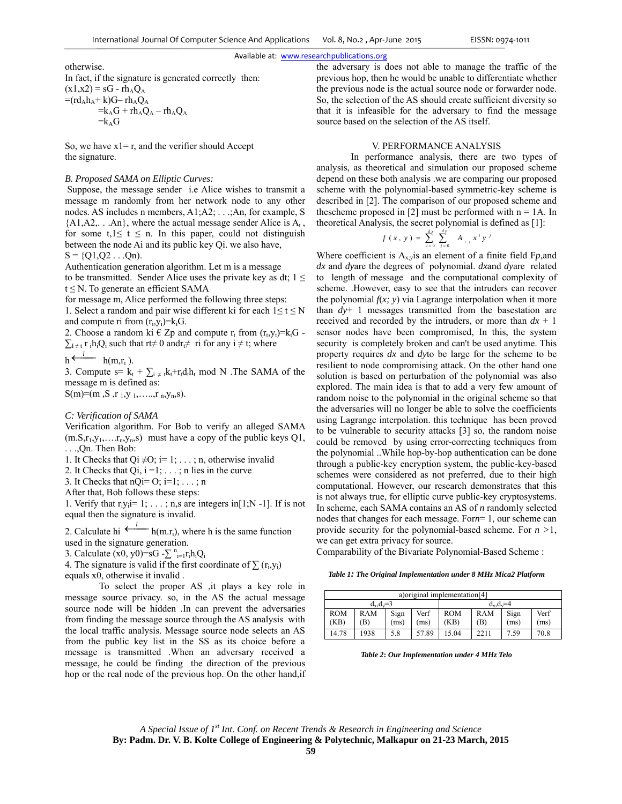otherwise. In fact, if the signature is generated correctly then:  $(x1,x2) = sG - rh<sub>A</sub>Q<sub>A</sub>$  $=(rd_Ah_A+k)G-rh_AQ_A$  $=k_A G + r h_A Q_A - r h_A Q_A$  $=k<sub>A</sub>G$ 

So, we have  $x1 = r$ , and the verifier should Accept the signature.

## *B. Proposed SAMA on Elliptic Curves:*

 Suppose, the message sender i.e Alice wishes to transmit a message m randomly from her network node to any other nodes. AS includes n members, A1;A2; . . .;An, for example, S  ${A1, A2, \dots An}$ , where the actual message sender Alice is  $A_t$ , for some  $t, 1 \le t \le n$ . In this paper, could not distinguish between the node Ai and its public key Qi. we also have,  $S = \{Q1, Q2 \dots Qn\}$ .

Authentication generation algorithm. Let m is a message to be transmitted. Sender Alice uses the private key as dt;  $1 \le$  $t \leq N$ . To generate an efficient SAMA

for message m, Alice performed the following three steps:

1. Select a random and pair wise different ki for each  $1 \le t \le N$ and compute ri from  $(r_i, y_i)=k_iG$ .

2. Choose a random ki  $\in Zp$  and compute  $r_t$  from  $(r_t,y_t)=k_tG$ .  $\sum_{\mu \neq t} r_i h_i Q_i$  such that rt≠ 0 andr $\neq \mu$  ri for any  $i \neq t$ ; where

$$
h \xleftarrow{l} \quad h(m,r_i).
$$

3. Compute s=  $k_t$  +  $\sum_{i \neq t} k_t + r_t d_t h_t$  mod N . The SAMA of the message m is defined as:  $S(m)=(m S, r_1, y_1, \ldots, r_n, y_n, s).$ 

#### *C: Verification of SAMA*

Verification algorithm. For Bob to verify an alleged SAMA  $(m.S,r_1,y_1,...r_n,y_n,s)$  must have a copy of the public keys Q1, . . .,Qn. Then Bob:

1. It Checks that Qi  $\neq$ O; i= 1; . . . ; n, otherwise invalid

2. It Checks that  $Qi$ ,  $i = 1; \ldots; n$  lies in the curve

3. It Checks that  $nQ = 0$ ;  $i=1$ ; ...; n

After that, Bob follows these steps:

1. Verify that  $r_i y_i = 1; \ldots; n$ , are integers in [1;N -1]. If is not equal then the signature is invalid.

2. Calculate hi<sup> $\leftarrow$ </sup>h(m.r<sub>i</sub>), where h is the same function used in the signature generation.

3. Calculate  $(x0, y0) = sG - \sum_{i=1}^{n} r_i h_i Q_i$ 

4. The signature is valid if the first coordinate of  $\sum$  (r<sub>i</sub>,y<sub>i</sub>) equals x0, otherwise it invalid .

 To select the proper AS ,it plays a key role in message source privacy. so, in the AS the actual message source node will be hidden .In can prevent the adversaries from finding the message source through the AS analysis with the local traffic analysis. Message source node selects an AS from the public key list in the SS as its choice before a message is transmitted .When an adversary received a message, he could be finding the direction of the previous hop or the real node of the previous hop. On the other hand,if the adversary is does not able to manage the traffic of the previous hop, then he would be unable to differentiate whether the previous node is the actual source node or forwarder node. So, the selection of the AS should create sufficient diversity so that it is infeasible for the adversary to find the message source based on the selection of the AS itself.

# V. PERFORMANCE ANALYSIS

In performance analysis, there are two types of analysis, as theoretical and simulation our proposed scheme depend on these both analysis .we are comparing our proposed scheme with the polynomial-based symmetric-key scheme is described in [2]. The comparison of our proposed scheme and thescheme proposed in [2] must be performed with  $n = 1A$ . In theoretical Analysis, the secret polynomial is defined as [1]:

$$
f(x, y) = \sum_{i=0}^{d x} \sum_{j=0}^{d y} A_{i,j} x^i y^j
$$

Where coefficient is Ax;*y*is an element of a finite field F*p*,and *dx* and *dy*are the degrees of polynomial. *dx*and *dy*are related to length of message and the computational complexity of scheme. .However, easy to see that the intruders can recover the polynomial  $f(x; y)$  via Lagrange interpolation when it more than *dy*+ 1 messages transmitted from the basestation are received and recorded by the intruders, or more than  $dx + 1$ sensor nodes have been compromised, In this, the system security is completely broken and can't be used anytime. This property requires *dx* and *dy*to be large for the scheme to be resilient to node compromising attack. On the other hand one solution is based on perturbation of the polynomial was also explored. The main idea is that to add a very few amount of random noise to the polynomial in the original scheme so that the adversaries will no longer be able to solve the coefficients using Lagrange interpolation. this technique has been proved to be vulnerable to security attacks [3] so, the random noise could be removed by using error-correcting techniques from the polynomial ..While hop-by-hop authentication can be done through a public-key encryption system, the public-key-based schemes were considered as not preferred, due to their high computational. However, our research demonstrates that this is not always true, for elliptic curve public-key cryptosystems. In scheme, each SAMA contains an AS of *n* randomly selected nodes that changes for each message. For*n*= 1, our scheme can provide security for the polynomial-based scheme. For *n >*1, we can get extra privacy for source.

Comparability of the Bivariate Polynomial-Based Scheme :

*Table 1: The Original Implementation under 8 MHz Mica2 Platform*

| a) original implementation [4] |            |              |              |                    |                   |              |              |  |  |  |  |
|--------------------------------|------------|--------------|--------------|--------------------|-------------------|--------------|--------------|--|--|--|--|
| $d_x, d_y = 3$                 |            |              |              | $d_x$ , $d_y = 4$  |                   |              |              |  |  |  |  |
| <b>ROM</b><br>(KB)             | RAM<br>(B) | Sign<br>(ms) | Verf<br>(ms) | <b>ROM</b><br>(KB) | <b>RAM</b><br>(B) | Sign<br>(ms) | Verf<br>(ms) |  |  |  |  |
| 14.78                          | 1938       | 5.8          | 57.89        | 15.04              | 2211              | 1.59         | 70.8         |  |  |  |  |

*Table 2***:** *Our Implementation under 4 MHz Telo* 

*A Special Issue of 1st Int. Conf. on Recent Trends & Research in Engineering and Science*  **By: Padm. Dr. V. B. Kolte College of Engineering & Polytechnic, Malkapur on 21-23 March, 2015**